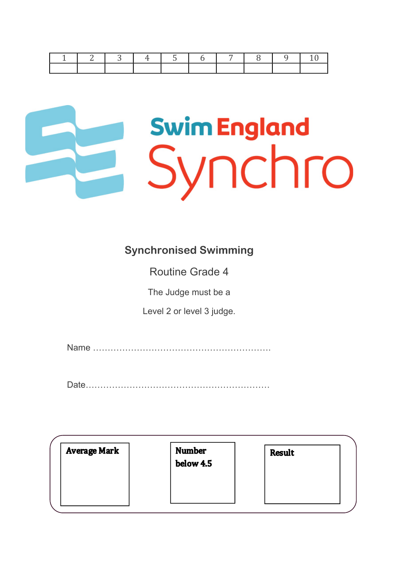|  | $\mathcal{R}$ |  |  |  |  |
|--|---------------|--|--|--|--|
|  |               |  |  |  |  |

# **Swim England** Synchro

#### **Synchronised Swimming**

Routine Grade 4

The Judge must be a

Level 2 or level 3 judge.

Name …………………………………………………….

Date………………………………………………………

| <b>Average Mark</b> | <b>Number</b><br>below 4.5 | <b>Result</b> |
|---------------------|----------------------------|---------------|
|                     |                            |               |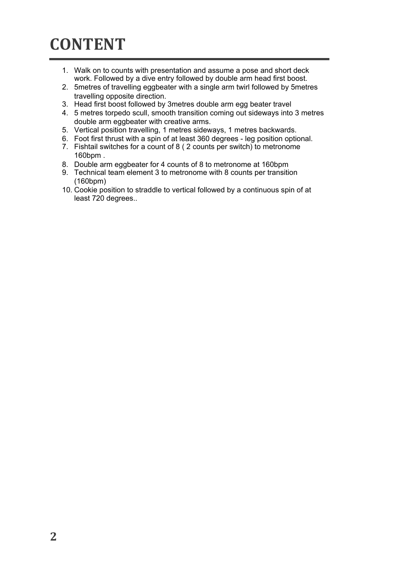#### **CONTENT**

- 1. Walk on to counts with presentation and assume a pose and short deck work. Followed by a dive entry followed by double arm head first boost.
- 2. 5metres of travelling eggbeater with a single arm twirl followed by 5metres travelling opposite direction.
- 3. Head first boost followed by 3metres double arm egg beater travel
- 4. 5 metres torpedo scull, smooth transition coming out sideways into 3 metres double arm eggbeater with creative arms.
- 5. Vertical position travelling, 1 metres sideways, 1 metres backwards.
- 6. Foot first thrust with a spin of at least 360 degrees leg position optional.
- 7. Fishtail switches for a count of 8 ( 2 counts per switch) to metronome 160bpm .
- 8. Double arm eggbeater for 4 counts of 8 to metronome at 160bpm
- 9. Technical team element 3 to metronome with 8 counts per transition (160bpm)
- 10. Cookie position to straddle to vertical followed by a continuous spin of at least 720 degrees..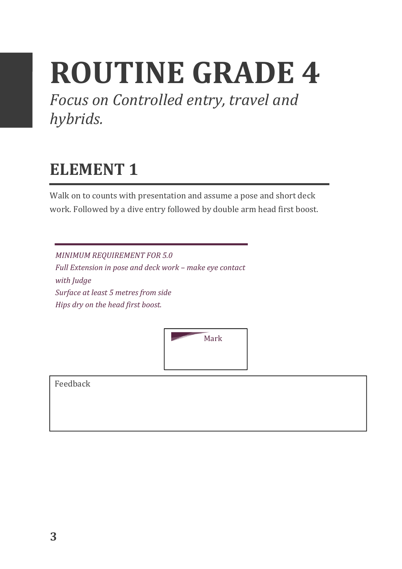## **ROUTINE GRADE 4**

Focus on Controlled entry, travel and *hybrids.*

#### **ELEMENT 1**

Walk on to counts with presentation and assume a pose and short deck work. Followed by a dive entry followed by double arm head first boost.

**MINIMUM REQUIREMENT FOR 5.0** *Full Extension in pose and deck work - make eye contact* with *Judge* Surface at least 5 metres from side *Hips* dry on the head first boost.

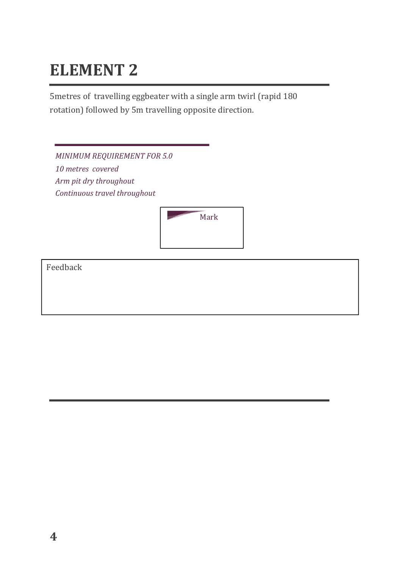5metres of travelling eggbeater with a single arm twirl (rapid 180 rotation) followed by 5m travelling opposite direction.

| <b>MINIMUM REQUIREMENT FOR 5.0</b> |      |
|------------------------------------|------|
| 10 metres covered                  |      |
| Arm pit dry throughout             |      |
| Continuous travel throughout       |      |
|                                    | Mark |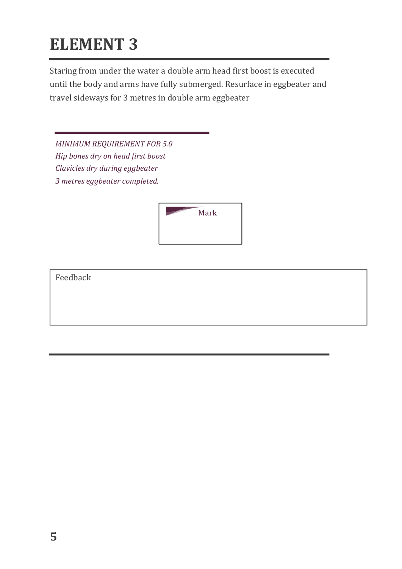Staring from under the water a double arm head first boost is executed until the body and arms have fully submerged. Resurface in eggbeater and travel sideways for 3 metres in double arm eggbeater

*MINIMUM REQUIREMENT FOR 5.0 Hip bones dry on head first boost Clavicles dry during eggbeater 3 metres eggbeater completed.*

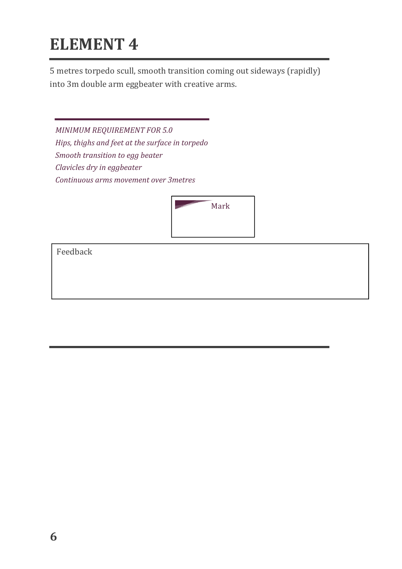5 metres torpedo scull, smooth transition coming out sideways (rapidly) into 3m double arm eggbeater with creative arms.

*MINIMUM REQUIREMENT FOR 5.0* Hips, thighs and feet at the surface in torpedo *Smooth transition to egg beater Clavicles dry in eggbeater Continuous arms movement over 3metres* 

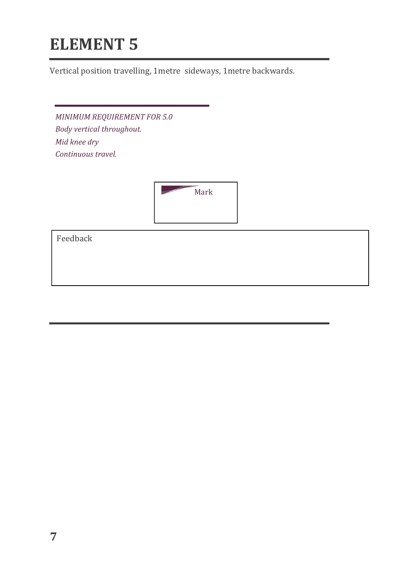Vertical position travelling, 1 metre sideways, 1 metre backwards.

*MINIMUM REQUIREMENT FOR 5.0 Body vertical throughout. Mid knee dry Continuous travel.*

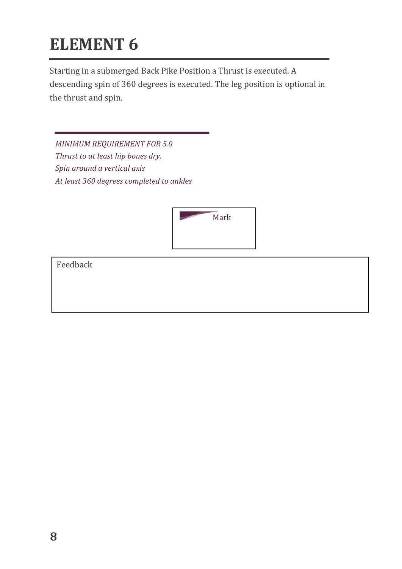Starting in a submerged Back Pike Position a Thrust is executed. A descending spin of 360 degrees is executed. The leg position is optional in the thrust and spin.

*MINIMUM REQUIREMENT FOR 5.0 Thrust to at least hip bones dry. Spin around a vertical axis*  At least 360 degrees completed to ankles

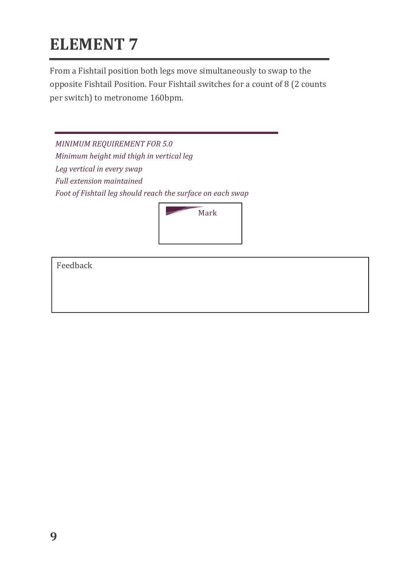From a Fishtail position both legs move simultaneously to swap to the opposite Fishtail Position. Four Fishtail switches for a count of 8 (2 counts per switch) to metronome 160bpm.

*MINIMUM REQUIREMENT FOR 5.0 Minimum height mid thigh in vertical leg* Leg vertical in every swap *Full extension maintained* Foot of Fishtail leg should reach the surface on each swap

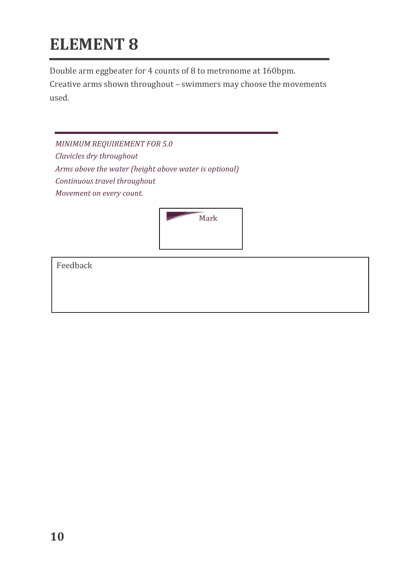Double arm eggbeater for 4 counts of 8 to metronome at 160bpm.

Creative arms shown throughout - swimmers may choose the movements used.

*MINIMUM REQUIREMENT FOR 5.0 Clavicles dry throughout* Arms above the water (height above water is optional) *Continuous travel throughout Movement on every count.* 

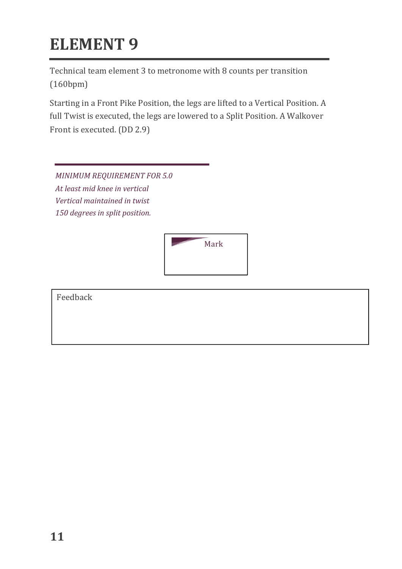Technical team element 3 to metronome with 8 counts per transition (160bpm)

Starting in a Front Pike Position, the legs are lifted to a Vertical Position. A full Twist is executed, the legs are lowered to a Split Position. A Walkover Front is executed. (DD 2.9)

**MINIMUM REQUIREMENT FOR 5.0** At *least mid knee in vertical Vertical maintained in twist* 150 *degrees* in split position.